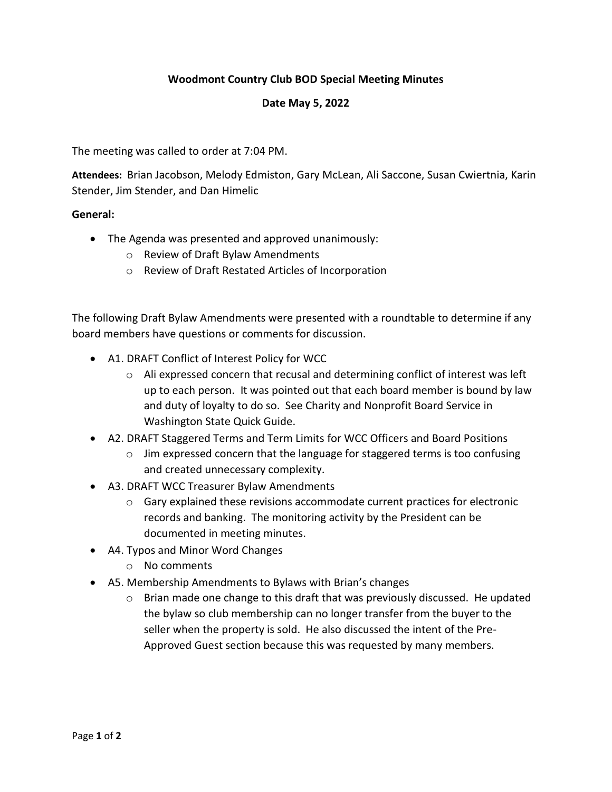## **Woodmont Country Club BOD Special Meeting Minutes**

## **Date May 5, 2022**

The meeting was called to order at 7:04 PM.

**Attendees:** Brian Jacobson, Melody Edmiston, Gary McLean, Ali Saccone, Susan Cwiertnia, Karin Stender, Jim Stender, and Dan Himelic

## **General:**

- The Agenda was presented and approved unanimously:
	- o Review of Draft Bylaw Amendments
	- o Review of Draft Restated Articles of Incorporation

The following Draft Bylaw Amendments were presented with a roundtable to determine if any board members have questions or comments for discussion.

- A1. DRAFT Conflict of Interest Policy for WCC
	- o Ali expressed concern that recusal and determining conflict of interest was left up to each person. It was pointed out that each board member is bound by law and duty of loyalty to do so. See Charity and Nonprofit Board Service in Washington State Quick Guide.
- A2. DRAFT Staggered Terms and Term Limits for WCC Officers and Board Positions
	- $\circ$  Jim expressed concern that the language for staggered terms is too confusing and created unnecessary complexity.
- A3. DRAFT WCC Treasurer Bylaw Amendments
	- $\circ$  Gary explained these revisions accommodate current practices for electronic records and banking. The monitoring activity by the President can be documented in meeting minutes.
- A4. Typos and Minor Word Changes
	- o No comments
- A5. Membership Amendments to Bylaws with Brian's changes
	- o Brian made one change to this draft that was previously discussed. He updated the bylaw so club membership can no longer transfer from the buyer to the seller when the property is sold. He also discussed the intent of the Pre-Approved Guest section because this was requested by many members.